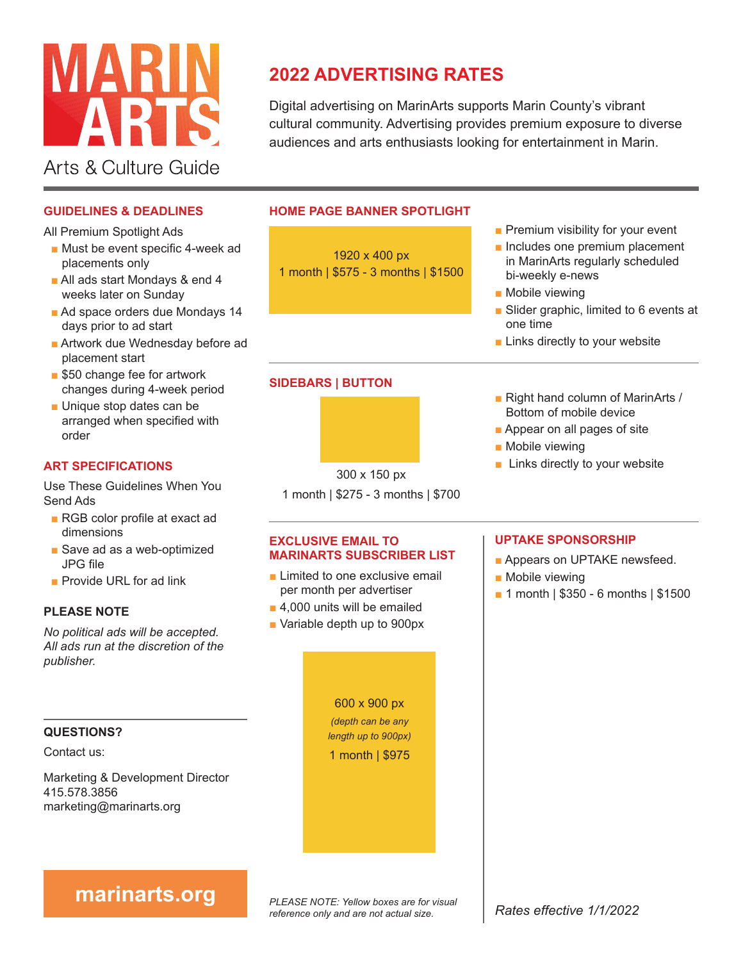

# **2022 ADVERTISING RATES**

Digital advertising on MarinArts supports Marin County's vibrant cultural community. Advertising provides premium exposure to diverse audiences and arts enthusiasts looking for entertainment in Marin.

### **GUIDELINES & DEADLINES**

All Premium Spotlight Ads

- Must be event specific 4-week ad placements only
- All ads start Mondays & end 4 weeks later on Sunday
- Ad space orders due Mondays 14 days prior to ad start
- Artwork due Wednesday before ad placement start
- \$50 change fee for artwork changes during 4-week period
- Unique stop dates can be arranged when specified with order

### **ART SPECIFICATIONS**

Use These Guidelines When You Send Ads

- RGB color profile at exact ad dimensions
- Save ad as a web-optimized JPG file
- Provide URL for ad link

### **PLEASE NOTE**

*No political ads will be accepted. All ads run at the discretion of the publisher.*

### **QUESTIONS?**

Contact us:

Marketing & Development Director 415.578.3856 marketing@marinarts.org

### **HOME PAGE BANNER SPOTLIGHT**

1920 x 400 px 1 month | \$575 - 3 months | \$1500

- Premium visibility for your event
- Includes one premium placement in MarinArts regularly scheduled bi-weekly e-news
- Mobile viewing
- Slider graphic, limited to 6 events at one time
- Links directly to your website
- Right hand column of MarinArts / Bottom of mobile device
	- Appear on all pages of site
	- Mobile viewing
	- Links directly to your website

- **MARINARTS SUBSCRIBER LIST**
- Limited to one exclusive email per month per advertiser
- 4,000 units will be emailed
- Variable depth up to 900px

600 x 900 px *(depth can be any length up to 900px)* 1 month | \$975

### **UPTAKE SPONSORSHIP**

- Appears on UPTAKE newsfeed.
- Mobile viewing
- 1 month | \$350 6 months | \$1500

*PLEASE NOTE: Yellow boxes are for visual reference only and are not actual size.* **marinarts.org**<br>*Rates effective 1/1/2022* 

300 x 150 px

1 month | \$275 - 3 months | \$700

**SIDEBARS | BUTTON**

# **EXCLUSIVE EMAIL TO**